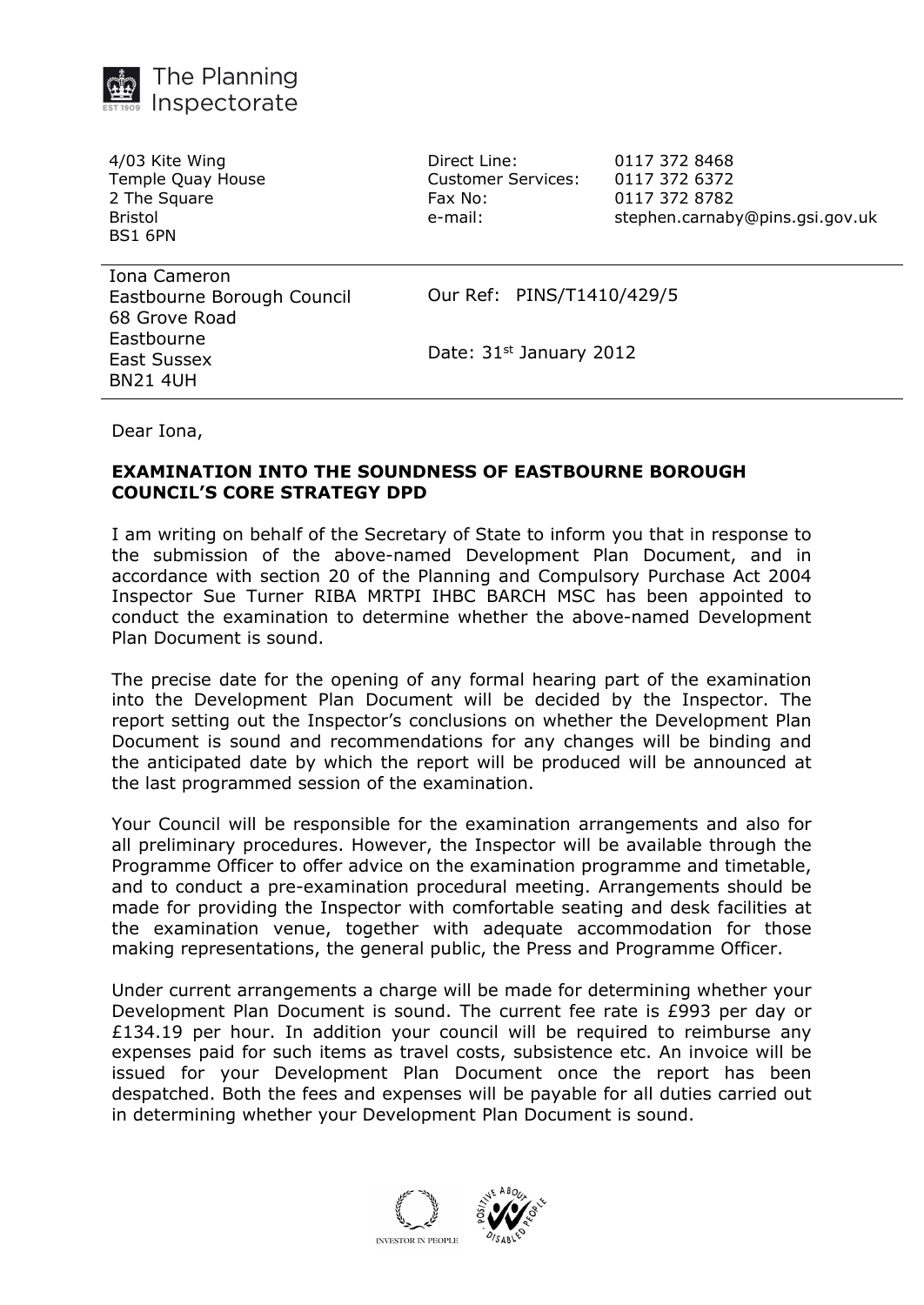

4/03 Kite Wing Temple Quay House 2 The Square Bristol BS1 6PN

Direct Line: 0117 372 8468 Customer Services: 0117 372 6372 Fax No: 0117 372 8782

e-mail: stephen.carnaby@pins.gsi.gov.uk

Iona Cameron Eastbourne Borough Council 68 Grove Road Eastbourne East Sussex BN21 4UH

Our Ref: PINS/T1410/429/5

Date: 31st January 2012

Dear Iona,

## **EXAMINATION INTO THE SOUNDNESS OF EASTBOURNE BOROUGH COUNCIL'S CORE STRATEGY DPD**

I am writing on behalf of the Secretary of State to inform you that in response to the submission of the above-named Development Plan Document, and in accordance with section 20 of the Planning and Compulsory Purchase Act 2004 Inspector Sue Turner RIBA MRTPI IHBC BARCH MSC has been appointed to conduct the examination to determine whether the above-named Development Plan Document is sound.

The precise date for the opening of any formal hearing part of the examination into the Development Plan Document will be decided by the Inspector. The report setting out the Inspector's conclusions on whether the Development Plan Document is sound and recommendations for any changes will be binding and the anticipated date by which the report will be produced will be announced at the last programmed session of the examination.

Your Council will be responsible for the examination arrangements and also for all preliminary procedures. However, the Inspector will be available through the Programme Officer to offer advice on the examination programme and timetable, and to conduct a pre-examination procedural meeting. Arrangements should be made for providing the Inspector with comfortable seating and desk facilities at the examination venue, together with adequate accommodation for those making representations, the general public, the Press and Programme Officer.

Under current arrangements a charge will be made for determining whether your Development Plan Document is sound. The current fee rate is £993 per day or £134.19 per hour. In addition your council will be required to reimburse any expenses paid for such items as travel costs, subsistence etc. An invoice will be issued for your Development Plan Document once the report has been despatched. Both the fees and expenses will be payable for all duties carried out in determining whether your Development Plan Document is sound.